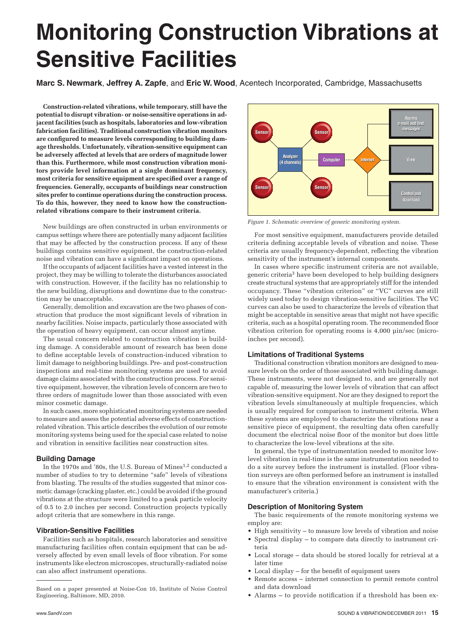# **Monitoring Construction Vibrations at Sensitive Facilities**

**Marc S. Newmark**, **Jeffrey A. Zapfe**, and **Eric W. Wood**, Acentech Incorporated, Cambridge, Massachusetts

**Construction-related vibrations, while temporary, still have the potential to disrupt vibration- or noise-sensitive operations in adjacent facilities (such as hospitals, laboratories and low-vibration fabrication facilities). Traditional construction vibration monitors are configured to measure levels corresponding to building damage thresholds. Unfortunately, vibration-sensitive equipment can be adversely affected at levels that are orders of magnitude lower than this. Furthermore, while most construction vibration monitors provide level information at a single dominant frequency, most criteria for sensitive equipment are specified over a range of frequencies. Generally, occupants of buildings near construction sites prefer to continue operations during the construction process. To do this, however, they need to know how the constructionrelated vibrations compare to their instrument criteria.**

New buildings are often constructed in urban environments or campus settings where there are potentially many adjacent facilities that may be affected by the construction process. If any of these buildings contains sensitive equipment, the construction-related noise and vibration can have a significant impact on operations.

If the occupants of adjacent facilities have a vested interest in the project, they may be willing to tolerate the disturbances associated with construction. However, if the facility has no relationship to the new building, disruptions and downtime due to the construction may be unacceptable.

Generally, demolition and excavation are the two phases of construction that produce the most significant levels of vibration in nearby facilities. Noise impacts, particularly those associated with the operation of heavy equipment, can occur almost anytime.

The usual concern related to construction vibration is building damage. A considerable amount of research has been done to define acceptable levels of construction-induced vibration to limit damage to neighboring buildings. Pre- and post-construction inspections and real-time monitoring systems are used to avoid damage claims associated with the construction process. For sensitive equipment, however, the vibration levels of concern are two to three orders of magnitude lower than those associated with even minor cosmetic damage.

In such cases, more sophisticated monitoring systems are needed to measure and assess the potential adverse effects of constructionrelated vibration. This article describes the evolution of our remote monitoring systems being used for the special case related to noise and vibration in sensitive facilities near construction sites.

#### **Building Damage**

In the 1970s and '80s, the U.S. Bureau of Mines<sup>1,2</sup> conducted a number of studies to try to determine "safe" levels of vibrations from blasting. The results of the studies suggested that minor cosmetic damage (cracking plaster, etc.) could be avoided if the ground vibrations at the structure were limited to a peak particle velocity of 0.5 to 2.0 inches per second. Construction projects typically adopt criteria that are somewhere in this range.

### **Vibration-Sensitive Facilities**

Facilities such as hospitals, research laboratories and sensitive manufacturing facilities often contain equipment that can be adversely affected by even small levels of floor vibration. For some instruments like electron microscopes, structurally-radiated noise can also affect instrument operations.



*Figure 1. Schematic overview of generic monitoring system.*

For most sensitive equipment, manufacturers provide detailed criteria defining acceptable levels of vibration and noise. These criteria are usually frequency-dependent, reflecting the vibration sensitivity of the instrument's internal components.

In cases where specific instrument criteria are not available, generic criteria3 have been developed to help building designers create structural systems that are appropriately stiff for the intended occupancy. These "vibration criterion" or "VC" curves are still widely used today to design vibration-sensitive facilities. The VC curves can also be used to characterize the levels of vibration that might be acceptable in sensitive areas that might not have specific criteria, such as a hospital operating room. The recommended floor vibration criterion for operating rooms is 4,000 µin/sec (microinches per second).

### **Limitations of Traditional Systems**

Traditional construction vibration monitors are designed to measure levels on the order of those associated with building damage. These instruments, were not designed to, and are generally not capable of, measuring the lower levels of vibration that can affect vibration-sensitive equipment. Nor are they designed to report the vibration levels simultaneously at multiple frequencies, which is usually required for comparison to instrument criteria. When these systems are employed to characterize the vibrations near a sensitive piece of equipment, the resulting data often carefully document the electrical noise floor of the monitor but does little to characterize the low-level vibrations at the site.

In general, the type of instrumentation needed to monitor lowlevel vibration in real-time is the same instrumentation needed to do a site survey before the instrument is installed. (Floor vibration surveys are often performed before an instrument is installed to ensure that the vibration environment is consistent with the manufacturer's criteria.)

#### **Description of Monitoring System**

The basic requirements of the remote monitoring systems we employ are:

- • High sensitivity to measure low levels of vibration and noise
- • Spectral display to compare data directly to instrument criteria
- Local storage data should be stored locally for retrieval at a later time
- • Local display for the benefit of equipment users
- Remote access internet connection to permit remote control and data download
- Alarms to provide notification if a threshold has been ex-

Based on a paper presented at Noise-Con 10, Institute of Noise Control Engineering, Baltimore, MD, 2010.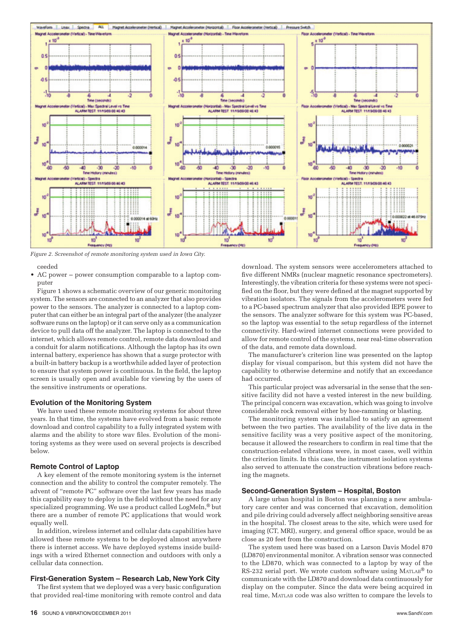

*Figure 2. Screenshot of remote monitoring system used in Iowa City.*

ceeded

• AC power – power consumption comparable to a laptop computer

Figure 1 shows a schematic overview of our generic monitoring system. The sensors are connected to an analyzer that also provides power to the sensors. The analyzer is connected to a laptop computer that can either be an integral part of the analyzer (the analyzer software runs on the laptop) or it can serve only as a communication device to pull data off the analyzer. The laptop is connected to the internet, which allows remote control, remote data download and a conduit for alarm notifications. Although the laptop has its own internal battery, experience has shown that a surge protector with a built-in battery backup is a worthwhile added layer of protection to ensure that system power is continuous. In the field, the laptop screen is usually open and available for viewing by the users of the sensitive instruments or operations.

#### **Evolution of the Monitoring System**

We have used these remote monitoring systems for about three years. In that time, the systems have evolved from a basic remote download and control capability to a fully integrated system with alarms and the ability to store wav files. Evolution of the monitoring systems as they were used on several projects is described below.

#### **Remote Control of Laptop**

A key element of the remote monitoring system is the internet connection and the ability to control the computer remotely. The advent of "remote PC" software over the last few years has made this capability easy to deploy in the field without the need for any specialized programming. We use a product called LogMeIn,<sup>®</sup> but there are a number of remote PC applications that would work equally well.

In addition, wireless internet and cellular data capabilities have allowed these remote systems to be deployed almost anywhere there is internet access. We have deployed systems inside buildings with a wired Ethernet connection and outdoors with only a cellular data connection.

# **First-Generation System – Research Lab, New York City**

The first system that we deployed was a very basic configuration that provided real-time monitoring with remote control and data

download. The system sensors were accelerometers attached to five different NMRs (nuclear magnetic resonance spectrometers). Interestingly, the vibration criteria for these systems were not specified on the floor, but they were defined at the magnet supported by vibration isolators. The signals from the accelerometers were fed to a PC-based spectrum analyzer that also provided IEPE power to the sensors. The analyzer software for this system was PC-based, so the laptop was essential to the setup regardless of the internet connectivity. Hard-wired internet connections were provided to allow for remote control of the systems, near real-time observation of the data, and remote data download.

The manufacturer's criterion line was presented on the laptop display for visual comparison, but this system did not have the capability to otherwise determine and notify that an exceedance had occurred.

This particular project was adversarial in the sense that the sensitive facility did not have a vested interest in the new building. The principal concern was excavation, which was going to involve considerable rock removal either by hoe-ramming or blasting.

The monitoring system was installed to satisfy an agreement between the two parties. The availability of the live data in the sensitive facility was a very positive aspect of the monitoring, because it allowed the researchers to confirm in real time that the construction-related vibrations were, in most cases, well within the criterion limits. In this case, the instrument isolation systems also served to attenuate the construction vibrations before reaching the magnets.

## **Second-Generation System – Hospital, Boston**

A large urban hospital in Boston was planning a new ambulatory care center and was concerned that excavation, demolition and pile driving could adversely affect neighboring sensitive areas in the hospital. The closest areas to the site, which were used for imaging (CT, MRI), surgery, and general office space, would be as close as 20 feet from the construction.

The system used here was based on a Larson Davis Model 870 (LD870) environmental monitor. A vibration sensor was connected to the LD870, which was connected to a laptop by way of the RS-232 serial port. We wrote custom software using MATLAB® to communicate with the LD870 and download data continuously for display on the computer. Since the data were being acquired in real time, Matlab code was also written to compare the levels to